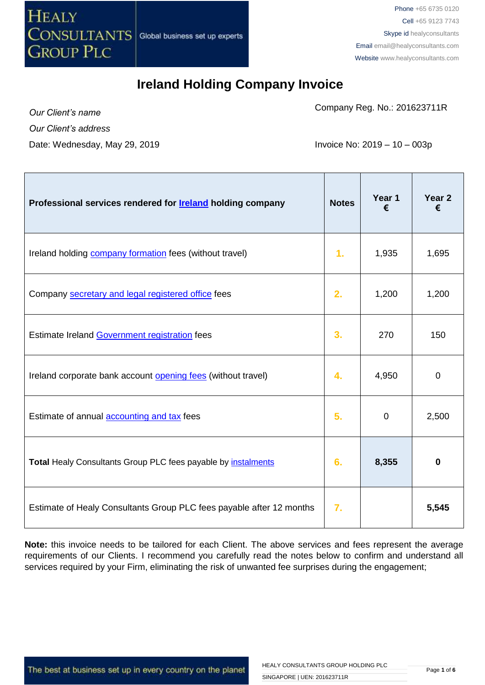

Company Reg. No.: 201623711R

*Our Client's name Our Client's address* Date: Wednesday, May 29, 2019 **Invoice No: 2019** - 10 – 003p

| Professional services rendered for <b>Ireland</b> holding company    | <b>Notes</b> | Year 1<br>€ | Year <sub>2</sub><br>€ |
|----------------------------------------------------------------------|--------------|-------------|------------------------|
| Ireland holding company formation fees (without travel)              | 1.           | 1,935       | 1,695                  |
| Company secretary and legal registered office fees                   | 2.           | 1,200       | 1,200                  |
| Estimate Ireland Government registration fees                        | 3.           | 270         | 150                    |
| Ireland corporate bank account opening fees (without travel)         | 4.           | 4,950       | $\overline{0}$         |
| Estimate of annual <b>accounting and tax</b> fees                    | 5.           | $\mathbf 0$ | 2,500                  |
| Total Healy Consultants Group PLC fees payable by <i>instalments</i> | 6.           | 8,355       | $\bf{0}$               |
| Estimate of Healy Consultants Group PLC fees payable after 12 months | 7.           |             | 5,545                  |

**Note:** this invoice needs to be tailored for each Client. The above services and fees represent the average requirements of our Clients. I recommend you carefully read the notes below to confirm and understand all services required by your Firm, eliminating the risk of unwanted fee surprises during the engagement;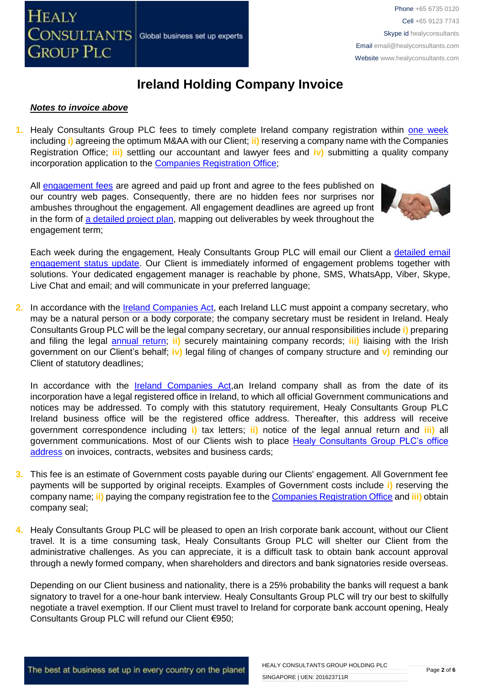

#### *Notes to invoice above*

**1.** Healy Consultants Group PLC fees to timely complete Ireland company registration within [one week](http://www.healyconsultants.com/ireland-company-registration/incorporation-steps/) including **i)** agreeing the optimum M&AA with our Client; **ii)** reserving a company name with the Companies Registration Office; **iii)** settling our accountant and lawyer fees and **iv)** submitting a quality company incorporation application to the [Companies Registration Office;](https://www.cro.ie/Publications/Fees/Company)

All [engagement fees](http://www.healyconsultants.com/company-registration-fees/) are agreed and paid up front and agree to the fees published on our country web pages. Consequently, there are no hidden fees nor surprises nor ambushes throughout the engagement. All engagement deadlines are agreed up front in the form of [a detailed project plan,](http://www.healyconsultants.com/index-important-links/example-project-plan/) mapping out deliverables by week throughout the engagement term;



Each week during the engagement, Healy Consultants Group PLC will email our Client a detailed email [engagement status update.](http://www.healyconsultants.com/index-important-links/weekly-engagement-status-email/) Our Client is immediately informed of engagement problems together with solutions. Your dedicated engagement manager is reachable by phone, SMS, WhatsApp, Viber, Skype, Live Chat and email; and will communicate in your preferred language;

**2.** In accordance with the [Ireland Companies Act,](http://www.irishstatutebook.ie/1963/en/act/pub/0033/) each Ireland LLC must appoint a company secretary, who may be a natural person or a body corporate; the company secretary must be resident in Ireland. Healy Consultants Group PLC will be the legal company secretary, our annual responsibilities include **i)** preparing and filing the legal [annual return;](http://www.healyconsultants.com/legal-annual-returns/) **ii)** securely maintaining company records; **iii)** liaising with the Irish government on our Client's behalf; **iv)** legal filing of changes of company structure and **v)** reminding our Client of statutory deadlines;

In accordance with the [Ireland Companies Act,](http://www.irishstatutebook.ie/1963/en/act/pub/0033/)an Ireland company shall as from the date of its incorporation have a legal registered office in Ireland, to which all official Government communications and notices may be addressed. To comply with this statutory requirement, Healy Consultants Group PLC Ireland business office will be the registered office address. Thereafter, this address will receive government correspondence including **i)** tax letters; **ii)** notice of the legal annual return and **iii)** all government communications. Most of our Clients wish to place [Healy Consultants Group PLC's office](http://www.healyconsultants.com/corporate-outsourcing-services/company-secretary-and-legal-registered-office/)  [address](http://www.healyconsultants.com/corporate-outsourcing-services/company-secretary-and-legal-registered-office/) on invoices, contracts, websites and business cards;

- **3.** This fee is an estimate of Government costs payable during our Clients' engagement. All Government fee payments will be supported by original receipts. Examples of Government costs include **i)** reserving the company name; **ii)** paying the company registration fee to th[e Companies Registration Office](https://www.cro.ie/Publications/Fees/Company) and **iii)** obtain company seal;
- **4.** Healy Consultants Group PLC will be pleased to open an Irish corporate bank account, without our Client travel. It is a time consuming task, Healy Consultants Group PLC will shelter our Client from the administrative challenges. As you can appreciate, it is a difficult task to obtain bank account approval through a newly formed company, when shareholders and directors and bank signatories reside overseas.

Depending on our Client business and nationality, there is a 25% probability the banks will request a bank signatory to travel for a one-hour bank interview. Healy Consultants Group PLC will try our best to skilfully negotiate a travel exemption. If our Client must travel to Ireland for corporate bank account opening, Healy Consultants Group PLC will refund our Client €950;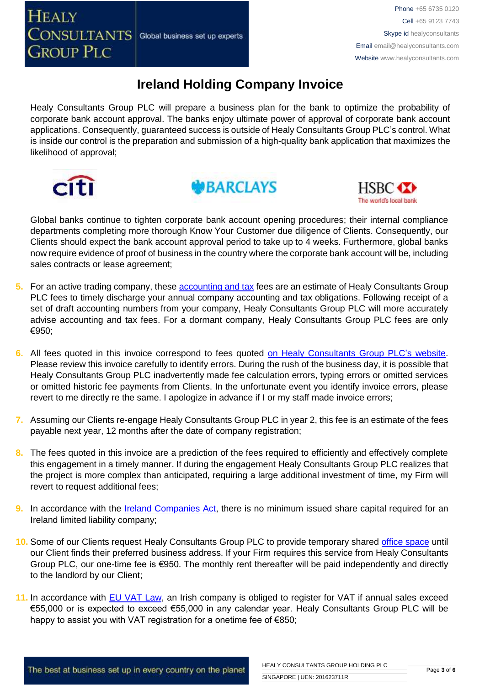Healy Consultants Group PLC will prepare a business plan for the bank to optimize the probability of corporate bank account approval. The banks enjoy ultimate power of approval of corporate bank account applications. Consequently, guaranteed success is outside of Healy Consultants Group PLC's control. What is inside our control is the preparation and submission of a high-quality bank application that maximizes the likelihood of approval;







Global banks continue to tighten corporate bank account opening procedures; their internal compliance departments completing more thorough Know Your Customer due diligence of Clients. Consequently, our Clients should expect the bank account approval period to take up to 4 weeks. Furthermore, global banks now require evidence of proof of business in the country where the corporate bank account will be, including sales contracts or lease agreement;

- **5.** For an active trading company, these **accounting and tax** fees are an estimate of Healy Consultants Group PLC fees to timely discharge your annual company accounting and tax obligations. Following receipt of a set of draft accounting numbers from your company, Healy Consultants Group PLC will more accurately advise accounting and tax fees. For a dormant company, Healy Consultants Group PLC fees are only €950;
- **6.** All fees quoted in this invoice correspond to fees quoted [on Healy Consultants Group PLC's](http://www.healyconsultants.com/company-registration-fees/) website. Please review this invoice carefully to identify errors. During the rush of the business day, it is possible that Healy Consultants Group PLC inadvertently made fee calculation errors, typing errors or omitted services or omitted historic fee payments from Clients. In the unfortunate event you identify invoice errors, please revert to me directly re the same. I apologize in advance if I or my staff made invoice errors;
- **7.** Assuming our Clients re-engage Healy Consultants Group PLC in year 2, this fee is an estimate of the fees payable next year, 12 months after the date of company registration;
- **8.** The fees quoted in this invoice are a prediction of the fees required to efficiently and effectively complete this engagement in a timely manner. If during the engagement Healy Consultants Group PLC realizes that the project is more complex than anticipated, requiring a large additional investment of time, my Firm will revert to request additional fees;
- **9.** In accordance with the [Ireland Companies Act,](http://www.irishstatutebook.ie/1963/en/act/pub/0033/) there is no minimum issued share capital required for an Ireland limited liability company;
- 10. Some of our Clients request Healy Consultants Group PLC to provide temporary shared [office space](http://www.healyconsultants.com/virtual-office/) until our Client finds their preferred business address. If your Firm requires this service from Healy Consultants Group PLC, our one-time fee is €950. The monthly rent thereafter will be paid independently and directly to the landlord by our Client;
- **11.** In accordance with **EU VAT Law**, an Irish company is obliged to register for VAT if annual sales exceed €55,000 or is expected to exceed €55,000 in any calendar year. Healy Consultants Group PLC will be happy to assist you with VAT registration for a onetime fee of €850;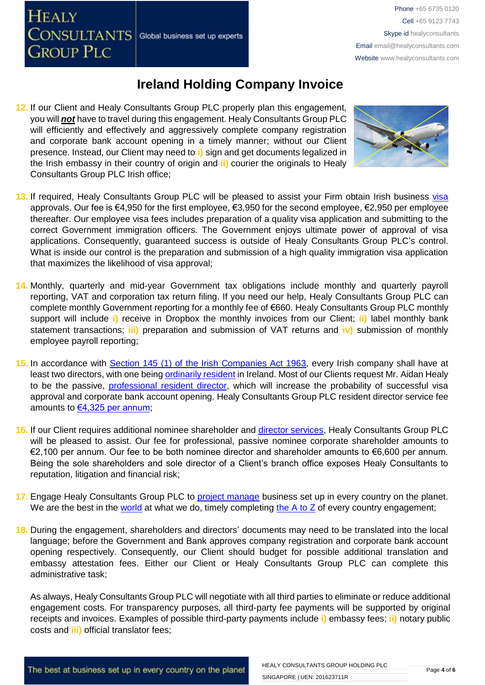**12.** If our Client and Healy Consultants Group PLC properly plan this engagement, you will *not* have to travel during this engagement. Healy Consultants Group PLC will efficiently and effectively and aggressively complete company registration and corporate bank account opening in a timely manner; without our Client presence. Instead, our Client may need to **i)** sign and get documents legalized in the Irish embassy in their country of origin and **ii)** courier the originals to Healy Consultants Group PLC Irish office;

Global business set up experts

**HEALY** 

CONSULTANTS

**GROUP PLC** 



- 13. If required, Healy Consultants Group PLC will be pleased to assist your Firm obtain Irish business visa approvals. Our fee is €4,950 for the first employee, €3,950 for the second employee, €2,950 per employee thereafter. Our employee visa fees includes preparation of a quality visa application and submitting to the correct Government immigration officers. The Government enjoys ultimate power of approval of visa applications. Consequently, guaranteed success is outside of Healy Consultants Group PLC's control. What is inside our control is the preparation and submission of a high quality immigration visa application that maximizes the likelihood of visa approval;
- **14.** Monthly, quarterly and mid-year Government tax obligations include monthly and quarterly payroll reporting, VAT and corporation tax return filing. If you need our help, Healy Consultants Group PLC can complete monthly Government reporting for a monthly fee of €660. Healy Consultants Group PLC monthly support will include **i)** receive in Dropbox the monthly invoices from our Client; **ii)** label monthly bank statement transactions; **iii)** preparation and submission of VAT returns and **iv)** submission of monthly employee payroll reporting;
- **15.** In accordance with [Section 145 \(1\) of the Irish Companies Act 1963,](http://www.irishstatutebook.ie/1963/en/act/pub/0033/sec0145.html) every Irish company shall have at least two directors, with one being [ordinarily resident](http://www.healyconsultants.com/resident-director-services/) in Ireland. Most of our Clients request Mr. Aidan Healy to be the passive, [professional resident director,](http://www.healyconsultants.com/resident-director-services/) which will increase the probability of successful visa approval and corporate bank account opening. Healy Consultants Group PLC resident director service fee amounts to [€4,325 per annum;](http://www.healyconsultants.com/corporate-advisory-services/resident-director-services/)
- **16.** If our Client requires additional nominee shareholder and [director services,](http://www.healyconsultants.com/resident-director-services/) Healy Consultants Group PLC will be pleased to assist. Our fee for professional, passive nominee corporate shareholder amounts to €2,100 per annum. Our fee to be both nominee director and shareholder amounts to €6,600 per annum. Being the sole shareholders and sole director of a Client's branch office exposes Healy Consultants to reputation, litigation and financial risk;
- **17.** Engage Healy Consultants Group PLC to [project manage](http://www.healyconsultants.com/project-manage-engagements/) business set up in every country on the planet. We are the best in the [world](http://www.healyconsultants.com/best-in-the-world/) at what we do, timely completing the  $A$  to  $Z$  of every country engagement;
- **18.** During the engagement, shareholders and directors' documents may need to be translated into the local language; before the Government and Bank approves company registration and corporate bank account opening respectively. Consequently, our Client should budget for possible additional translation and embassy attestation fees. Either our Client or Healy Consultants Group PLC can complete this administrative task;

As always, Healy Consultants Group PLC will negotiate with all third parties to eliminate or reduce additional engagement costs. For transparency purposes, all third-party fee payments will be supported by original receipts and invoices. Examples of possible third-party payments include **i)** embassy fees; **ii)** notary public costs and **iii)** official translator fees;

The best at business set up in every country on the planet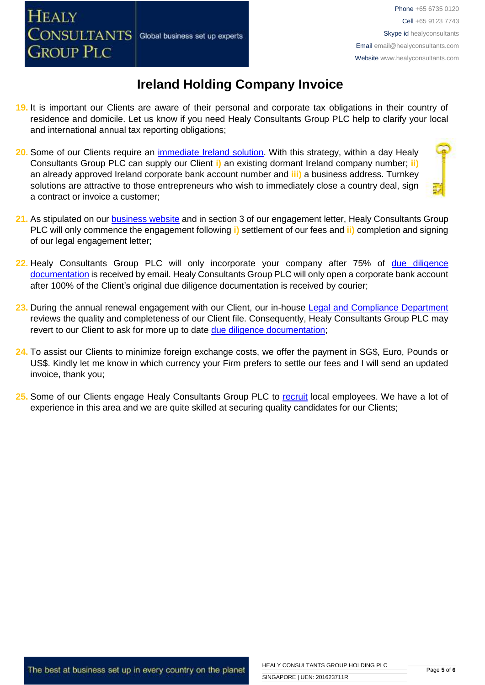- **19.** It is important our Clients are aware of their personal and corporate tax obligations in their country of residence and domicile. Let us know if you need Healy Consultants Group PLC help to clarify your local and international annual tax reporting obligations;
- **20.** Some of our Clients require an [immediate Ireland](http://www.healyconsultants.com/turnkey-solutions/) solution. With this strategy, within a day Healy Consultants Group PLC can supply our Client **i)** an existing dormant Ireland company number; **ii)** an already approved Ireland corporate bank account number and **iii)** a business address. Turnkey solutions are attractive to those entrepreneurs who wish to immediately close a country deal, sign a contract or invoice a customer;
- **21.** As stipulated on our [business website](http://www.healyconsultants.com/) and in section 3 of our engagement letter, Healy Consultants Group PLC will only commence the engagement following **i)** settlement of our fees and **ii)** completion and signing of our legal engagement letter;
- **22.** Healy Consultants Group PLC will only incorporate your company after 75% of [due diligence](http://www.healyconsultants.com/due-diligence/)  [documentation](http://www.healyconsultants.com/due-diligence/) is received by email. Healy Consultants Group PLC will only open a corporate bank account after 100% of the Client's original due diligence documentation is received by courier;
- 23. During the annual renewal engagement with our Client, our in-house [Legal and Compliance Department](http://www.healyconsultants.com/about-us/key-personnel/cai-xin-profile/) reviews the quality and completeness of our Client file. Consequently, Healy Consultants Group PLC may revert to our Client to ask for more up to date [due diligence documentation;](http://www.healyconsultants.com/due-diligence/)
- **24.** To assist our Clients to minimize foreign exchange costs, we offer the payment in SG\$, Euro, Pounds or US\$. Kindly let me know in which currency your Firm prefers to settle our fees and I will send an updated invoice, thank you;
- **25.** Some of our Clients engage Healy Consultants Group PLC to [recruit](http://www.healyconsultants.com/corporate-outsourcing-services/how-we-help-our-clients-recruit-quality-employees/) local employees. We have a lot of experience in this area and we are quite skilled at securing quality candidates for our Clients;